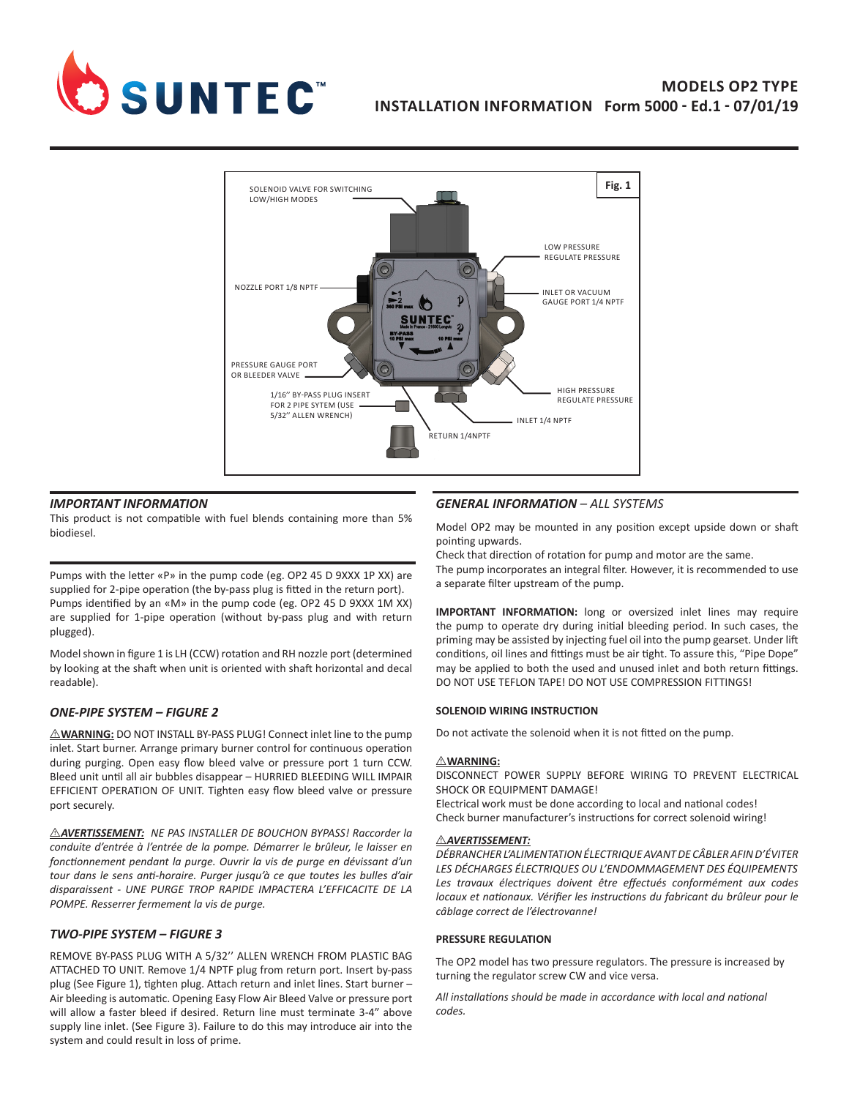

# **MODELS OP2 TYPE INSTALLATION INFORMATION Form 5000 - Ed.1 - 07/01/19**



## *IMPORTANT INFORMATION*

This product is not compatible with fuel blends containing more than 5% biodiesel.

Pumps with the letter «P» in the pump code (eg. OP2 45 D 9XXX 1P XX) are supplied for 2-pipe operation (the by-pass plug is fitted in the return port). Pumps identified by an «M» in the pump code (eg. OP2 45 D 9XXX 1M XX) are supplied for 1-pipe operation (without by-pass plug and with return plugged).

Model shown in figure 1 is LH (CCW) rotation and RH nozzle port (determined by looking at the shaft when unit is oriented with shaft horizontal and decal readable).

## *ONE-PIPE SYSTEM – FIGURE 2*

 $\triangle$ WARNING: DO NOT INSTALL BY-PASS PLUG! Connect inlet line to the pump inlet. Start burner. Arrange primary burner control for continuous operation during purging. Open easy flow bleed valve or pressure port 1 turn CCW. Bleed unit until all air bubbles disappear – HURRIED BLEEDING WILL IMPAIR EFFICIENT OPERATION OF UNIT. Tighten easy flow bleed valve or pressure port securely.

I *AVERTISSEMENT: NE PAS INSTALLER DE BOUCHON BYPASS! Raccorder la conduite d'entrée à l'entrée de la pompe. Démarrer le brûleur, le laisser en fonctionnement pendant la purge. Ouvrir la vis de purge en dévissant d'un tour dans le sens anti-horaire. Purger jusqu'à ce que toutes les bulles d'air disparaissent - UNE PURGE TROP RAPIDE IMPACTERA L'EFFICACITE DE LA POMPE. Resserrer fermement la vis de purge.*

## *TWO-PIPE SYSTEM – FIGURE 3*

REMOVE BY-PASS PLUG WITH A 5/32'' ALLEN WRENCH FROM PLASTIC BAG ATTACHED TO UNIT. Remove 1/4 NPTF plug from return port. Insert by-pass plug (See Figure 1), tighten plug. Attach return and inlet lines. Start burner – Air bleeding is automatic. Opening Easy Flow Air Bleed Valve or pressure port will allow a faster bleed if desired. Return line must terminate 3-4" above supply line inlet. (See Figure 3). Failure to do this may introduce air into the system and could result in loss of prime.

# *GENERAL INFORMATION – ALL SYSTEMS*

Model OP2 may be mounted in any position except upside down or shaft pointing upwards.

Check that direction of rotation for pump and motor are the same. The pump incorporates an integral filter. However, it is recommended to use a separate filter upstream of the pump.

**IMPORTANT INFORMATION:** long or oversized inlet lines may require the pump to operate dry during initial bleeding period. In such cases, the priming may be assisted by injecting fuel oil into the pump gearset. Under lift conditions, oil lines and fittings must be air tight. To assure this, "Pipe Dope" may be applied to both the used and unused inlet and both return fittings. DO NOT USE TEFLON TAPE! DO NOT USE COMPRESSION FITTINGS!

## **SOLENOID WIRING INSTRUCTION**

Do not activate the solenoid when it is not fitted on the pump.

## $\triangle$ **WARNING:**

DISCONNECT POWER SUPPLY BEFORE WIRING TO PREVENT ELECTRICAL SHOCK OR EQUIPMENT DAMAGE!

Electrical work must be done according to local and national codes! Check burner manufacturer's instructions for correct solenoid wiring!

## I *AVERTISSEMENT:*

*DÉBRANCHER L'ALIMENTATION ÉLECTRIQUE AVANT DE CÂBLER AFIN D'ÉVITER LES DÉCHARGES ÉLECTRIQUES OU L'ENDOMMAGEMENT DES ÉQUIPEMENTS Les travaux électriques doivent être effectués conformément aux codes locaux et nationaux. Vérifier les instructions du fabricant du brûleur pour le câblage correct de l'électrovanne!*

## **PRESSURE REGULATION**

The OP2 model has two pressure regulators. The pressure is increased by turning the regulator screw CW and vice versa.

*All installations should be made in accordance with local and national codes.*